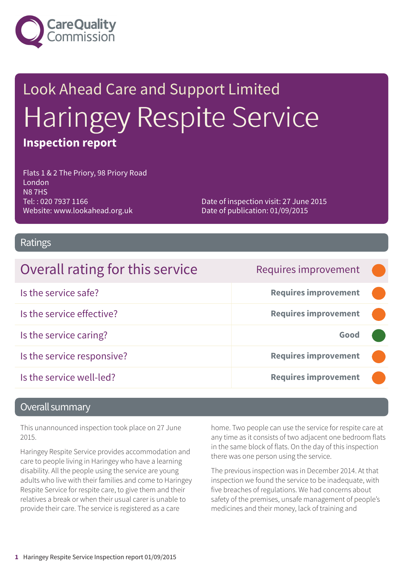

# Look Ahead Care and Support Limited Haringey Respite Service **Inspection report**

Flats 1 & 2 The Priory, 98 Priory Road London N8 7HS Tel: : 020 7937 1166 Website: www.lookahead.org.uk

Date of inspection visit: 27 June 2015 Date of publication: 01/09/2015

#### Ratings

| Overall rating for this service | Requires improvement        |  |
|---------------------------------|-----------------------------|--|
| Is the service safe?            | <b>Requires improvement</b> |  |
| Is the service effective?       | <b>Requires improvement</b> |  |
| Is the service caring?          | Good                        |  |
| Is the service responsive?      | <b>Requires improvement</b> |  |
| Is the service well-led?        | <b>Requires improvement</b> |  |

#### Overall summary

This unannounced inspection took place on 27 June 2015.

Haringey Respite Service provides accommodation and care to people living in Haringey who have a learning disability. All the people using the service are young adults who live with their families and come to Haringey Respite Service for respite care, to give them and their relatives a break or when their usual carer is unable to provide their care. The service is registered as a care

home. Two people can use the service for respite care at any time as it consists of two adjacent one bedroom flats in the same block of flats. On the day of this inspection there was one person using the service.

The previous inspection was in December 2014. At that inspection we found the service to be inadequate, with five breaches of regulations. We had concerns about safety of the premises, unsafe management of people's medicines and their money, lack of training and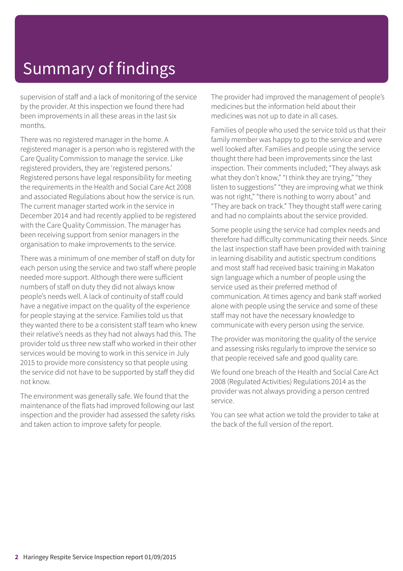## Summary of findings

supervision of staff and a lack of monitoring of the service by the provider. At this inspection we found there had been improvements in all these areas in the last six months.

There was no registered manager in the home. A registered manager is a person who is registered with the Care Quality Commission to manage the service. Like registered providers, they are 'registered persons.' Registered persons have legal responsibility for meeting the requirements in the Health and Social Care Act 2008 and associated Regulations about how the service is run. The current manager started work in the service in December 2014 and had recently applied to be registered with the Care Quality Commission. The manager has been receiving support from senior managers in the organisation to make improvements to the service.

There was a minimum of one member of staff on duty for each person using the service and two staff where people needed more support. Although there were sufficient numbers of staff on duty they did not always know people's needs well. A lack of continuity of staff could have a negative impact on the quality of the experience for people staying at the service. Families told us that they wanted there to be a consistent staff team who knew their relative's needs as they had not always had this. The provider told us three new staff who worked in their other services would be moving to work in this service in July 2015 to provide more consistency so that people using the service did not have to be supported by staff they did not know.

The environment was generally safe. We found that the maintenance of the flats had improved following our last inspection and the provider had assessed the safety risks and taken action to improve safety for people.

The provider had improved the management of people's medicines but the information held about their medicines was not up to date in all cases.

Families of people who used the service told us that their family member was happy to go to the service and were well looked after. Families and people using the service thought there had been improvements since the last inspection. Their comments included; "They always ask what they don't know," "I think they are trying," "they listen to suggestions" "they are improving what we think was not right," "there is nothing to worry about" and "They are back on track." They thought staff were caring and had no complaints about the service provided.

Some people using the service had complex needs and therefore had difficulty communicating their needs. Since the last inspection staff have been provided with training in learning disability and autistic spectrum conditions and most staff had received basic training in Makaton sign language which a number of people using the service used as their preferred method of communication. At times agency and bank staff worked alone with people using the service and some of these staff may not have the necessary knowledge to communicate with every person using the service.

The provider was monitoring the quality of the service and assessing risks regularly to improve the service so that people received safe and good quality care.

We found one breach of the Health and Social Care Act 2008 (Regulated Activities) Regulations 2014 as the provider was not always providing a person centred service.

You can see what action we told the provider to take at the back of the full version of the report.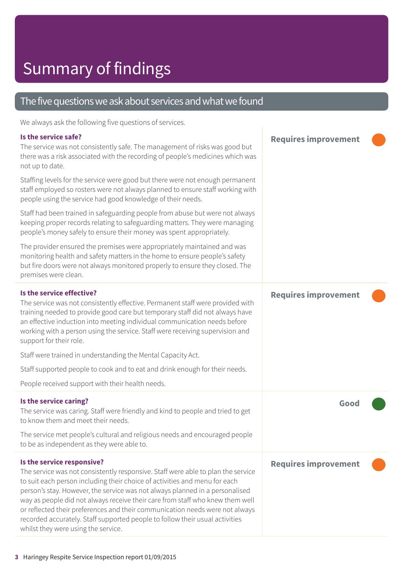#### The five questions we ask about services and what we found

We always ask the following five questions of services.

#### **Is the service safe?** The service was not consistently safe. The management of risks was good but there was a risk associated with the recording of people's medicines which was not up to date. Staffing levels for the service were good but there were not enough permanent staff employed so rosters were not always planned to ensure staff working with people using the service had good knowledge of their needs. Staff had been trained in safeguarding people from abuse but were not always keeping proper records relating to safeguarding matters. They were managing people's money safely to ensure their money was spent appropriately. The provider ensured the premises were appropriately maintained and was monitoring health and safety matters in the home to ensure people's safety but fire doors were not always monitored properly to ensure they closed. The premises were clean. **Requires improvement ––– Is the service effective?** The service was not consistently effective. Permanent staff were provided with training needed to provide good care but temporary staff did not always have an effective induction into meeting individual communication needs before working with a person using the service. Staff were receiving supervision and support for their role. Staff were trained in understanding the Mental Capacity Act. Staff supported people to cook and to eat and drink enough for their needs. People received support with their health needs. **Requires improvement ––– Is the service caring?** The service was caring. Staff were friendly and kind to people and tried to get to know them and meet their needs. The service met people's cultural and religious needs and encouraged people to be as independent as they were able to. **Good ––– Is the service responsive?** The service was not consistently responsive. Staff were able to plan the service to suit each person including their choice of activities and menu for each person's stay. However, the service was not always planned in a personalised way as people did not always receive their care from staff who knew them well or reflected their preferences and their communication needs were not always recorded accurately. Staff supported people to follow their usual activities whilst they were using the service. **Requires improvement –––**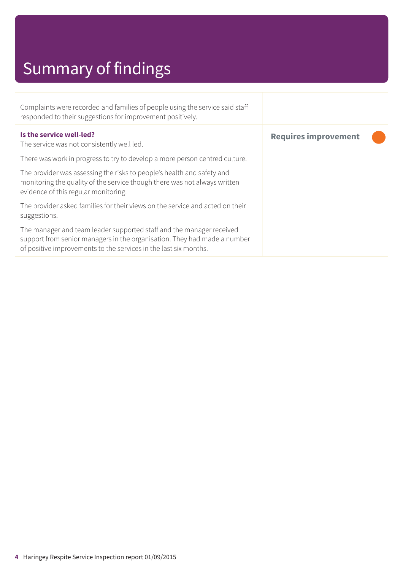# Summary of findings

| Complaints were recorded and families of people using the service said staff<br>responded to their suggestions for improvement positively.                                                                           |                             |
|----------------------------------------------------------------------------------------------------------------------------------------------------------------------------------------------------------------------|-----------------------------|
| Is the service well-led?<br>The service was not consistently well led.                                                                                                                                               | <b>Requires improvement</b> |
| There was work in progress to try to develop a more person centred culture.                                                                                                                                          |                             |
| The provider was assessing the risks to people's health and safety and<br>monitoring the quality of the service though there was not always written<br>evidence of this regular monitoring.                          |                             |
| The provider asked families for their views on the service and acted on their<br>suggestions.                                                                                                                        |                             |
| The manager and team leader supported staff and the manager received<br>support from senior managers in the organisation. They had made a number<br>of positive improvements to the services in the last six months. |                             |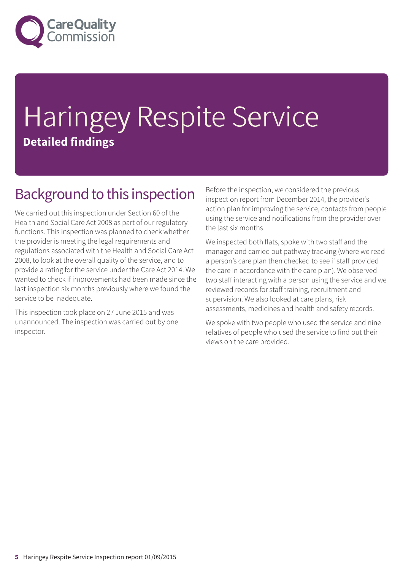

# Haringey Respite Service **Detailed findings**

#### Background to this inspection

We carried out this inspection under Section 60 of the Health and Social Care Act 2008 as part of our regulatory functions. This inspection was planned to check whether the provider is meeting the legal requirements and regulations associated with the Health and Social Care Act 2008, to look at the overall quality of the service, and to provide a rating for the service under the Care Act 2014. We wanted to check if improvements had been made since the last inspection six months previously where we found the service to be inadequate.

This inspection took place on 27 June 2015 and was unannounced. The inspection was carried out by one inspector.

Before the inspection, we considered the previous inspection report from December 2014, the provider's action plan for improving the service, contacts from people using the service and notifications from the provider over the last six months.

We inspected both flats, spoke with two staff and the manager and carried out pathway tracking (where we read a person's care plan then checked to see if staff provided the care in accordance with the care plan). We observed two staff interacting with a person using the service and we reviewed records for staff training, recruitment and supervision. We also looked at care plans, risk assessments, medicines and health and safety records.

We spoke with two people who used the service and nine relatives of people who used the service to find out their views on the care provided.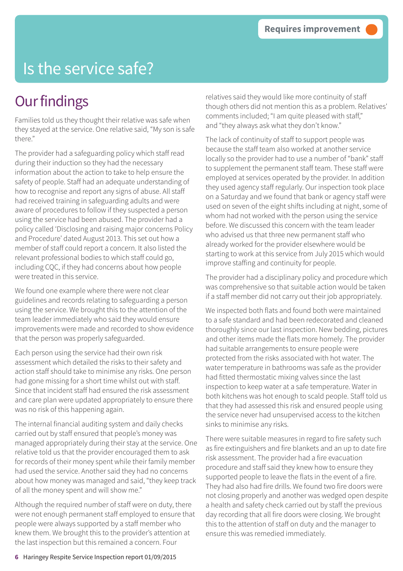### Is the service safe?

#### **Our findings**

Families told us they thought their relative was safe when they stayed at the service. One relative said, "My son is safe there."

The provider had a safeguarding policy which staff read during their induction so they had the necessary information about the action to take to help ensure the safety of people. Staff had an adequate understanding of how to recognise and report any signs of abuse. All staff had received training in safeguarding adults and were aware of procedures to follow if they suspected a person using the service had been abused. The provider had a policy called 'Disclosing and raising major concerns Policy and Procedure' dated August 2013. This set out how a member of staff could report a concern. It also listed the relevant professional bodies to which staff could go, including CQC, if they had concerns about how people were treated in this service.

We found one example where there were not clear guidelines and records relating to safeguarding a person using the service. We brought this to the attention of the team leader immediately who said they would ensure improvements were made and recorded to show evidence that the person was properly safeguarded.

Each person using the service had their own risk assessment which detailed the risks to their safety and action staff should take to minimise any risks. One person had gone missing for a short time whilst out with staff. Since that incident staff had ensured the risk assessment and care plan were updated appropriately to ensure there was no risk of this happening again.

The internal financial auditing system and daily checks carried out by staff ensured that people's money was managed appropriately during their stay at the service. One relative told us that the provider encouraged them to ask for records of their money spent while their family member had used the service. Another said they had no concerns about how money was managed and said, "they keep track of all the money spent and will show me."

Although the required number of staff were on duty, there were not enough permanent staff employed to ensure that people were always supported by a staff member who knew them. We brought this to the provider's attention at the last inspection but this remained a concern. Four

relatives said they would like more continuity of staff though others did not mention this as a problem. Relatives' comments included; "I am quite pleased with staff," and "they always ask what they don't know."

The lack of continuity of staff to support people was because the staff team also worked at another service locally so the provider had to use a number of "bank" staff to supplement the permanent staff team. These staff were employed at services operated by the provider. In addition they used agency staff regularly. Our inspection took place on a Saturday and we found that bank or agency staff were used on seven of the eight shifts including at night, some of whom had not worked with the person using the service before. We discussed this concern with the team leader who advised us that three new permanent staff who already worked for the provider elsewhere would be starting to work at this service from July 2015 which would improve staffing and continuity for people.

The provider had a disciplinary policy and procedure which was comprehensive so that suitable action would be taken if a staff member did not carry out their job appropriately.

We inspected both flats and found both were maintained to a safe standard and had been redecorated and cleaned thoroughly since our last inspection. New bedding, pictures and other items made the flats more homely. The provider had suitable arrangements to ensure people were protected from the risks associated with hot water. The water temperature in bathrooms was safe as the provider had fitted thermostatic mixing valves since the last inspection to keep water at a safe temperature. Water in both kitchens was hot enough to scald people. Staff told us that they had assessed this risk and ensured people using the service never had unsupervised access to the kitchen sinks to minimise any risks.

There were suitable measures in regard to fire safety such as fire extinguishers and fire blankets and an up to date fire risk assessment. The provider had a fire evacuation procedure and staff said they knew how to ensure they supported people to leave the flats in the event of a fire. They had also had fire drills. We found two fire doors were not closing properly and another was wedged open despite a health and safety check carried out by staff the previous day recording that all fire doors were closing. We brought this to the attention of staff on duty and the manager to ensure this was remedied immediately.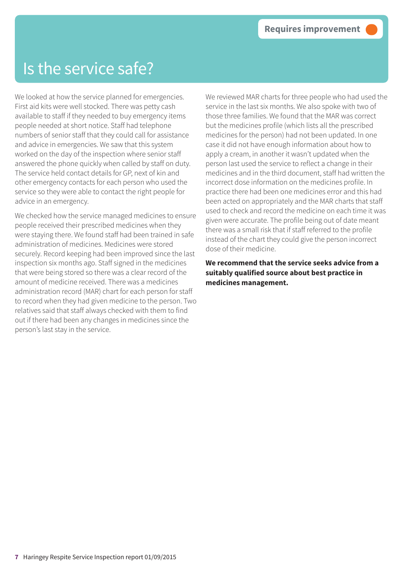#### Is the service safe?

We looked at how the service planned for emergencies. First aid kits were well stocked. There was petty cash available to staff if they needed to buy emergency items people needed at short notice. Staff had telephone numbers of senior staff that they could call for assistance and advice in emergencies. We saw that this system worked on the day of the inspection where senior staff answered the phone quickly when called by staff on duty. The service held contact details for GP, next of kin and other emergency contacts for each person who used the service so they were able to contact the right people for advice in an emergency.

We checked how the service managed medicines to ensure people received their prescribed medicines when they were staying there. We found staff had been trained in safe administration of medicines. Medicines were stored securely. Record keeping had been improved since the last inspection six months ago. Staff signed in the medicines that were being stored so there was a clear record of the amount of medicine received. There was a medicines administration record (MAR) chart for each person for staff to record when they had given medicine to the person. Two relatives said that staff always checked with them to find out if there had been any changes in medicines since the person's last stay in the service.

We reviewed MAR charts for three people who had used the service in the last six months. We also spoke with two of those three families. We found that the MAR was correct but the medicines profile (which lists all the prescribed medicines for the person) had not been updated. In one case it did not have enough information about how to apply a cream, in another it wasn't updated when the person last used the service to reflect a change in their medicines and in the third document, staff had written the incorrect dose information on the medicines profile. In practice there had been one medicines error and this had been acted on appropriately and the MAR charts that staff used to check and record the medicine on each time it was given were accurate. The profile being out of date meant there was a small risk that if staff referred to the profile instead of the chart they could give the person incorrect dose of their medicine.

**We recommend that the service seeks advice from a suitably qualified source about best practice in medicines management.**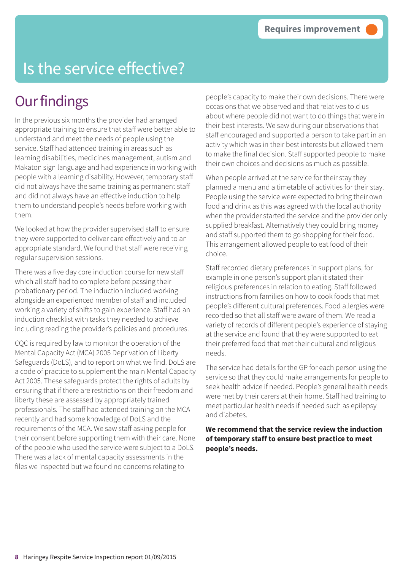## Is the service effective?

#### **Our findings**

In the previous six months the provider had arranged appropriate training to ensure that staff were better able to understand and meet the needs of people using the service. Staff had attended training in areas such as learning disabilities, medicines management, autism and Makaton sign language and had experience in working with people with a learning disability. However, temporary staff did not always have the same training as permanent staff and did not always have an effective induction to help them to understand people's needs before working with them.

We looked at how the provider supervised staff to ensure they were supported to deliver care effectively and to an appropriate standard. We found that staff were receiving regular supervision sessions.

There was a five day core induction course for new staff which all staff had to complete before passing their probationary period. The induction included working alongside an experienced member of staff and included working a variety of shifts to gain experience. Staff had an induction checklist with tasks they needed to achieve including reading the provider's policies and procedures.

CQC is required by law to monitor the operation of the Mental Capacity Act (MCA) 2005 Deprivation of Liberty Safeguards (DoLS), and to report on what we find. DoLS are a code of practice to supplement the main Mental Capacity Act 2005. These safeguards protect the rights of adults by ensuring that if there are restrictions on their freedom and liberty these are assessed by appropriately trained professionals. The staff had attended training on the MCA recently and had some knowledge of DoLS and the requirements of the MCA. We saw staff asking people for their consent before supporting them with their care. None of the people who used the service were subject to a DoLS. There was a lack of mental capacity assessments in the files we inspected but we found no concerns relating to

people's capacity to make their own decisions. There were occasions that we observed and that relatives told us about where people did not want to do things that were in their best interests. We saw during our observations that staff encouraged and supported a person to take part in an activity which was in their best interests but allowed them to make the final decision. Staff supported people to make their own choices and decisions as much as possible.

When people arrived at the service for their stay they planned a menu and a timetable of activities for their stay. People using the service were expected to bring their own food and drink as this was agreed with the local authority when the provider started the service and the provider only supplied breakfast. Alternatively they could bring money and staff supported them to go shopping for their food. This arrangement allowed people to eat food of their choice.

Staff recorded dietary preferences in support plans, for example in one person's support plan it stated their religious preferences in relation to eating. Staff followed instructions from families on how to cook foods that met people's different cultural preferences. Food allergies were recorded so that all staff were aware of them. We read a variety of records of different people's experience of staying at the service and found that they were supported to eat their preferred food that met their cultural and religious needs.

The service had details for the GP for each person using the service so that they could make arrangements for people to seek health advice if needed. People's general health needs were met by their carers at their home. Staff had training to meet particular health needs if needed such as epilepsy and diabetes.

#### **We recommend that the service review the induction of temporary staff to ensure best practice to meet people's needs.**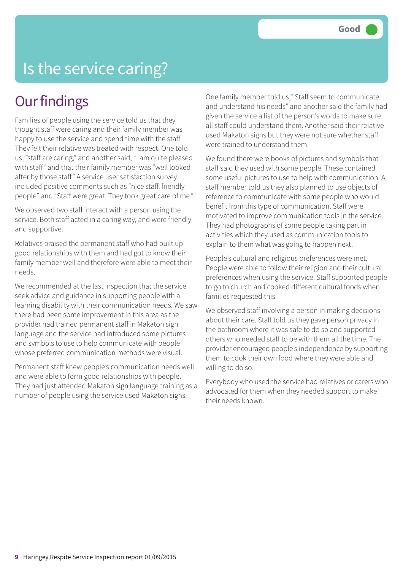#### Is the service caring?

#### **Our findings**

Families of people using the service told us that they thought staff were caring and their family member was happy to use the service and spend time with the staff. They felt their relative was treated with respect. One told us, "staff are caring," and another said, "I am quite pleased with staff" and that their family member was "well looked after by those staff." A service user satisfaction survey included positive comments such as "nice staff, friendly people" and "Staff were great. They took great care of me."

We observed two staff interact with a person using the service. Both staff acted in a caring way, and were friendly and supportive.

Relatives praised the permanent staff who had built up good relationships with them and had got to know their family member well and therefore were able to meet their needs.

We recommended at the last inspection that the service seek advice and guidance in supporting people with a learning disability with their communication needs. We saw there had been some improvement in this area as the provider had trained permanent staff in Makaton sign language and the service had introduced some pictures and symbols to use to help communicate with people whose preferred communication methods were visual.

Permanent staff knew people's communication needs well and were able to form good relationships with people. They had just attended Makaton sign language training as a number of people using the service used Makaton signs.

One family member told us," Staff seem to communicate and understand his needs" and another said the family had given the service a list of the person's words to make sure all staff could understand them. Another said their relative used Makaton signs but they were not sure whether staff were trained to understand them.

We found there were books of pictures and symbols that staff said they used with some people. These contained some useful pictures to use to help with communication. A staff member told us they also planned to use objects of reference to communicate with some people who would benefit from this type of communication. Staff were motivated to improve communication tools in the service. They had photographs of some people taking part in activities which they used as communication tools to explain to them what was going to happen next.

People's cultural and religious preferences were met. People were able to follow their religion and their cultural preferences when using the service. Staff supported people to go to church and cooked different cultural foods when families requested this.

We observed staff involving a person in making decisions about their care. Staff told us they gave person privacy in the bathroom where it was safe to do so and supported others who needed staff to be with them all the time. The provider encouraged people's independence by supporting them to cook their own food where they were able and willing to do so.

Everybody who used the service had relatives or carers who advocated for them when they needed support to make their needs known.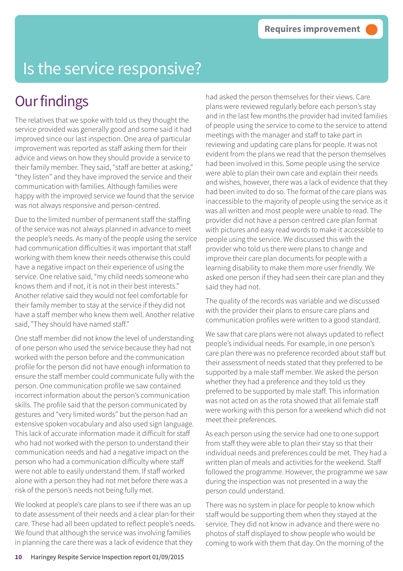## Is the service responsive?

#### **Our findings**

The relatives that we spoke with told us they thought the service provided was generally good and some said it had improved since our last inspection. One area of particular improvement was reported as staff asking them for their advice and views on how they should provide a service to their family member. They said, "staff are better at asking," "they listen" and they have improved the service and their communication with families. Although families were happy with the improved service we found that the service was not always responsive and person-centred.

Due to the limited number of permanent staff the staffing of the service was not always planned in advance to meet the people's needs. As many of the people using the service had communication difficulties it was important that staff working with them knew their needs otherwise this could have a negative impact on their experience of using the service. One relative said, "my child needs someone who knows them and if not, it is not in their best interests." Another relative said they would not feel comfortable for their family member to stay at the service if they did not have a staff member who knew them well. Another relative said, "They should have named staff."

One staff member did not know the level of understanding of one person who used the service because they had not worked with the person before and the communication profile for the person did not have enough information to ensure the staff member could communicate fully with the person. One communication profile we saw contained incorrect information about the person's communication skills. The profile said that the person communicated by gestures and "very limited words" but the person had an extensive spoken vocabulary and also used sign language. This lack of accurate information made it difficult for staff who had not worked with the person to understand their communication needs and had a negative impact on the person who had a communication difficulty where staff were not able to easily understand them. If staff worked alone with a person they had not met before there was a risk of the person's needs not being fully met.

We looked at people's care plans to see if there was an up to date assessment of their needs and a clear plan for their care. These had all been updated to reflect people's needs. We found that although the service was involving families in planning the care there was a lack of evidence that they

had asked the person themselves for their views. Care plans were reviewed regularly before each person's stay and in the last few months the provider had invited families of people using the service to come to the service to attend meetings with the manager and staff to take part in reviewing and updating care plans for people. It was not evident from the plans we read that the person themselves had been involved in this. Some people using the service were able to plan their own care and explain their needs and wishes, however, there was a lack of evidence that they had been invited to do so. The format of the care plans was inaccessible to the majority of people using the service as it was all written and most people were unable to read. The provider did not have a person centred care plan format with pictures and easy read words to make it accessible to people using the service. We discussed this with the provider who told us there were plans to change and improve their care plan documents for people with a learning disability to make them more user friendly. We asked one person if they had seen their care plan and they said they had not.

The quality of the records was variable and we discussed with the provider their plans to ensure care plans and communication profiles were written to a good standard.

We saw that care plans were not always updated to reflect people's individual needs. For example, in one person's care plan there was no preference recorded about staff but their assessment of needs stated that they preferred to be supported by a male staff member. We asked the person whether they had a preference and they told us they preferred to be supported by male staff. This information was not acted on as the rota showed that all female staff were working with this person for a weekend which did not meet their preferences.

As each person using the service had one to one support from staff they were able to plan their stay so that their individual needs and preferences could be met. They had a written plan of meals and activities for the weekend. Staff followed the programme. However, the programme we saw during the inspection was not presented in a way the person could understand.

There was no system in place for people to know which staff would be supporting them when they stayed at the service. They did not know in advance and there were no photos of staff displayed to show people who would be coming to work with them that day. On the morning of the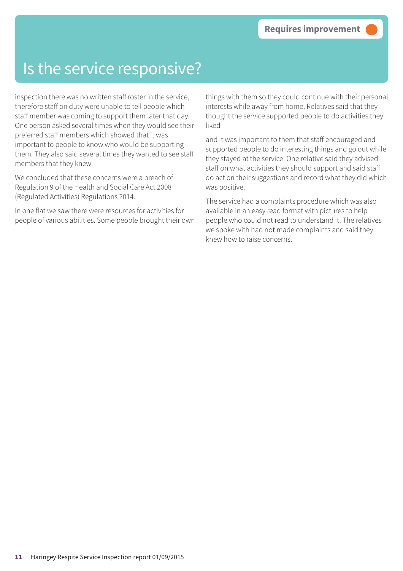#### Is the service responsive?

inspection there was no written staff roster in the service, therefore staff on duty were unable to tell people which staff member was coming to support them later that day. One person asked several times when they would see their preferred staff members which showed that it was important to people to know who would be supporting them. They also said several times they wanted to see staff members that they knew.

We concluded that these concerns were a breach of Regulation 9 of the Health and Social Care Act 2008 (Regulated Activities) Regulations 2014.

In one flat we saw there were resources for activities for people of various abilities. Some people brought their own

things with them so they could continue with their personal interests while away from home. Relatives said that they thought the service supported people to do activities they liked

and it was important to them that staff encouraged and supported people to do interesting things and go out while they stayed at the service. One relative said they advised staff on what activities they should support and said staff do act on their suggestions and record what they did which was positive.

The service had a complaints procedure which was also available in an easy read format with pictures to help people who could not read to understand it. The relatives we spoke with had not made complaints and said they knew how to raise concerns.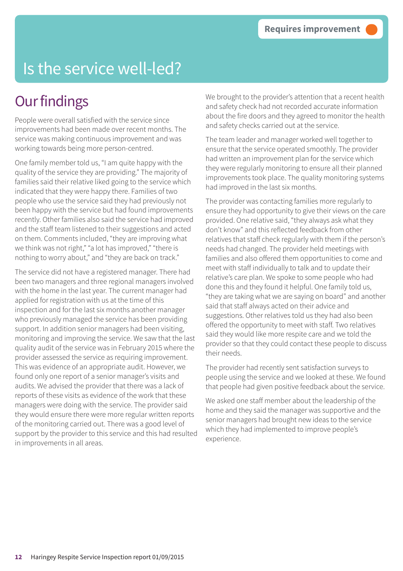## Is the service well-led?

#### **Our findings**

People were overall satisfied with the service since improvements had been made over recent months. The service was making continuous improvement and was working towards being more person-centred.

One family member told us, "I am quite happy with the quality of the service they are providing." The majority of families said their relative liked going to the service which indicated that they were happy there. Families of two people who use the service said they had previously not been happy with the service but had found improvements recently. Other families also said the service had improved and the staff team listened to their suggestions and acted on them. Comments included, "they are improving what we think was not right," "a lot has improved," "there is nothing to worry about," and "they are back on track."

The service did not have a registered manager. There had been two managers and three regional managers involved with the home in the last year. The current manager had applied for registration with us at the time of this inspection and for the last six months another manager who previously managed the service has been providing support. In addition senior managers had been visiting, monitoring and improving the service. We saw that the last quality audit of the service was in February 2015 where the provider assessed the service as requiring improvement. This was evidence of an appropriate audit. However, we found only one report of a senior manager's visits and audits. We advised the provider that there was a lack of reports of these visits as evidence of the work that these managers were doing with the service. The provider said they would ensure there were more regular written reports of the monitoring carried out. There was a good level of support by the provider to this service and this had resulted in improvements in all areas.

We brought to the provider's attention that a recent health and safety check had not recorded accurate information about the fire doors and they agreed to monitor the health and safety checks carried out at the service.

The team leader and manager worked well together to ensure that the service operated smoothly. The provider had written an improvement plan for the service which they were regularly monitoring to ensure all their planned improvements took place. The quality monitoring systems had improved in the last six months.

The provider was contacting families more regularly to ensure they had opportunity to give their views on the care provided. One relative said, "they always ask what they don't know" and this reflected feedback from other relatives that staff check regularly with them if the person's needs had changed. The provider held meetings with families and also offered them opportunities to come and meet with staff individually to talk and to update their relative's care plan. We spoke to some people who had done this and they found it helpful. One family told us, "they are taking what we are saying on board" and another said that staff always acted on their advice and suggestions. Other relatives told us they had also been offered the opportunity to meet with staff. Two relatives said they would like more respite care and we told the provider so that they could contact these people to discuss their needs.

The provider had recently sent satisfaction surveys to people using the service and we looked at these. We found that people had given positive feedback about the service.

We asked one staff member about the leadership of the home and they said the manager was supportive and the senior managers had brought new ideas to the service which they had implemented to improve people's experience.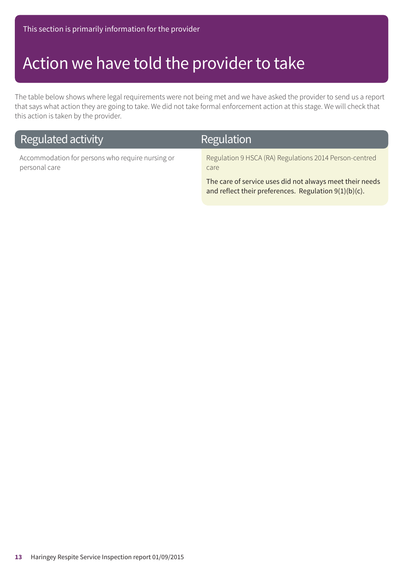#### Action we have told the provider to take

The table below shows where legal requirements were not being met and we have asked the provider to send us a report that says what action they are going to take. We did not take formal enforcement action at this stage. We will check that this action is taken by the provider.

| Regulated activity                                                | Regulation                                                                                                           |
|-------------------------------------------------------------------|----------------------------------------------------------------------------------------------------------------------|
| Accommodation for persons who require nursing or<br>personal care | Regulation 9 HSCA (RA) Regulations 2014 Person-centred<br>care.                                                      |
|                                                                   | The care of service uses did not always meet their needs<br>and reflect their preferences. Regulation $9(1)(b)(c)$ . |

**13** Haringey Respite Service Inspection report 01/09/2015